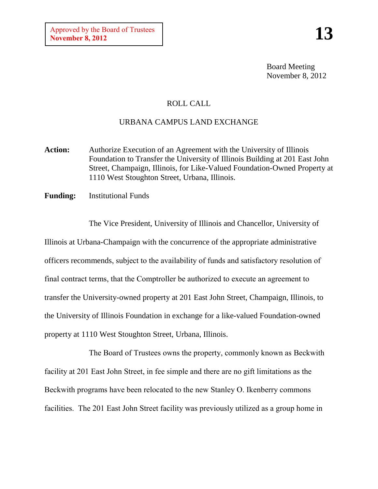Board Meeting November 8, 2012

## ROLL CALL

## URBANA CAMPUS LAND EXCHANGE

- **Action:** Authorize Execution of an Agreement with the University of Illinois Foundation to Transfer the University of Illinois Building at 201 East John Street, Champaign, Illinois, for Like-Valued Foundation-Owned Property at 1110 West Stoughton Street, Urbana, Illinois.
- **Funding:** Institutional Funds

The Vice President, University of Illinois and Chancellor, University of Illinois at Urbana-Champaign with the concurrence of the appropriate administrative officers recommends, subject to the availability of funds and satisfactory resolution of final contract terms, that the Comptroller be authorized to execute an agreement to transfer the University-owned property at 201 East John Street, Champaign, Illinois, to the University of Illinois Foundation in exchange for a like-valued Foundation-owned property at 1110 West Stoughton Street, Urbana, Illinois.

The Board of Trustees owns the property, commonly known as Beckwith facility at 201 East John Street, in fee simple and there are no gift limitations as the Beckwith programs have been relocated to the new Stanley O. Ikenberry commons facilities. The 201 East John Street facility was previously utilized as a group home in